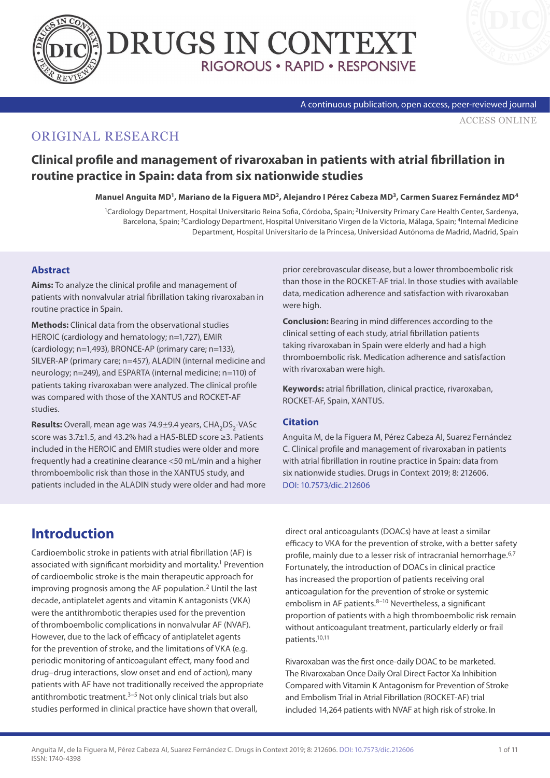



#### A continuous publication, open access, peer-reviewed journal

[ACCESS ONLINE](https://www.drugsincontext.com/clinical-profile-and-management-of-rivaroxaban-in-patients-with-atrial-fibrillation-in-routine-practice-in-spain:-data-from-six-nationwide-studies/)

## ORIGINAL RESEARCH

## **Clinical profile and management of rivaroxaban in patients with atrial fibrillation in routine practice in Spain: data from six nationwide studies**

**Manuel Anguita MD1, Mariano de la Figuera MD2, Alejandro I Pérez Cabeza MD3, Carmen Suarez Fernández MD4**

<sup>1</sup>Cardiology Department, Hospital Universitario Reina Sofia, Córdoba, Spain; <sup>2</sup>University Primary Care Health Center, Sardenya, Barcelona, Spain; <sup>3</sup>Cardiology Department, Hospital Universitario Virgen de la Victoria, Málaga, Spain; <sup>4</sup>Internal Medicine Department, Hospital Universitario de la Princesa, Universidad Autónoma de Madrid, Madrid, Spain

### **Abstract**

**Aims:** To analyze the clinical profile and management of patients with nonvalvular atrial fibrillation taking rivaroxaban in routine practice in Spain.

**Methods:** Clinical data from the observational studies HEROIC (cardiology and hematology; n=1,727), EMIR (cardiology; n=1,493), BRONCE-AP (primary care; n=133), SILVER-AP (primary care; n=457), ALADIN (internal medicine and neurology; n=249), and ESPARTA (internal medicine; n=110) of patients taking rivaroxaban were analyzed. The clinical profile was compared with those of the XANTUS and ROCKET-AF studies.

**Results:** Overall, mean age was 74.9±9.4 years, CHA<sub>2</sub>DS<sub>2</sub>-VASc score was 3.7±1.5, and 43.2% had a HAS-BLED score ≥3. Patients included in the HEROIC and EMIR studies were older and more frequently had a creatinine clearance <50 mL/min and a higher thromboembolic risk than those in the XANTUS study, and patients included in the ALADIN study were older and had more prior cerebrovascular disease, but a lower thromboembolic risk than those in the ROCKET-AF trial. In those studies with available data, medication adherence and satisfaction with rivaroxaban were high.

**Conclusion:** Bearing in mind differences according to the clinical setting of each study, atrial fibrillation patients taking rivaroxaban in Spain were elderly and had a high thromboembolic risk. Medication adherence and satisfaction with rivaroxaban were high.

**Keywords:** atrial fibrillation, clinical practice, rivaroxaban, ROCKET-AF, Spain, XANTUS.

#### **Citation**

Anguita M, de la Figuera M, Pérez Cabeza AI, Suarez Fernández C. Clinical profile and management of rivaroxaban in patients with atrial fibrillation in routine practice in Spain: data from six nationwide studies. Drugs in Context 2019; 8: 212606. [DOI: 10.7573/dic.212606](http://DOI: 10.7573/dic.212606)

# **Introduction**

Cardioembolic stroke in patients with atrial fibrillation (AF) is associated with significant morbidity and mortality.1 Prevention of cardioembolic stroke is the main therapeutic approach for improving prognosis among the AF population.<sup>2</sup> Until the last decade, antiplatelet agents and vitamin K antagonists (VKA) were the antithrombotic therapies used for the prevention of thromboembolic complications in nonvalvular AF (NVAF). However, due to the lack of efficacy of antiplatelet agents for the prevention of stroke, and the limitations of VKA (e.g. periodic monitoring of anticoagulant effect, many food and drug–drug interactions, slow onset and end of action), many patients with AF have not traditionally received the appropriate antithrombotic treatment.<sup>3-5</sup> Not only clinical trials but also studies performed in clinical practice have shown that overall,

direct oral anticoagulants (DOACs) have at least a similar efficacy to VKA for the prevention of stroke, with a better safety profile, mainly due to a lesser risk of intracranial hemorrhage.<sup>6,7</sup> Fortunately, the introduction of DOACs in clinical practice has increased the proportion of patients receiving oral anticoagulation for the prevention of stroke or systemic embolism in AF patients.<sup>8–10</sup> Nevertheless, a significant proportion of patients with a high thromboembolic risk remain without anticoagulant treatment, particularly elderly or frail patients.10,11

Rivaroxaban was the first once-daily DOAC to be marketed. The Rivaroxaban Once Daily Oral Direct Factor Xa Inhibition Compared with Vitamin K Antagonism for Prevention of Stroke and Embolism Trial in Atrial Fibrillation (ROCKET-AF) trial included 14,264 patients with NVAF at high risk of stroke. In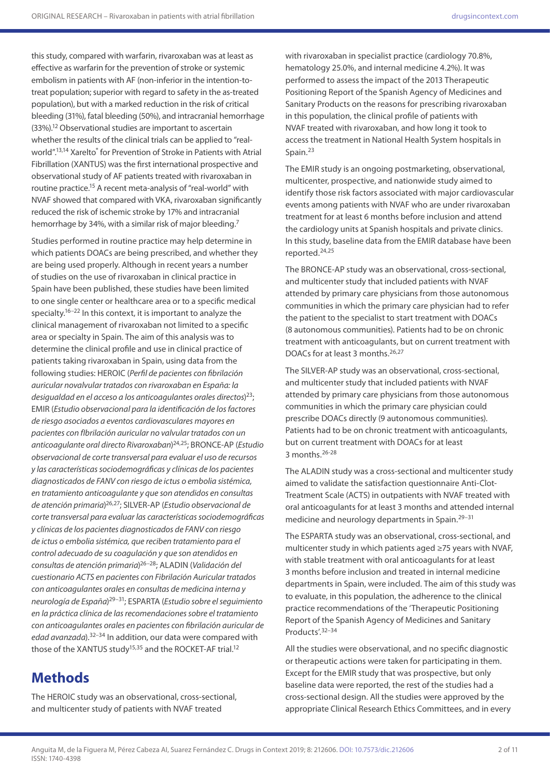this study, compared with warfarin, rivaroxaban was at least as effective as warfarin for the prevention of stroke or systemic embolism in patients with AF (non-inferior in the intention-totreat population; superior with regard to safety in the as-treated population), but with a marked reduction in the risk of critical bleeding (31%), fatal bleeding (50%), and intracranial hemorrhage (33%).12 Observational studies are important to ascertain whether the results of the clinical trials can be applied to "realworld".<sup>13,14</sup> Xarelto<sup>®</sup> for Prevention of Stroke in Patients with Atrial Fibrillation (XANTUS) was the first international prospective and observational study of AF patients treated with rivaroxaban in routine practice.15 A recent meta-analysis of "real-world" with NVAF showed that compared with VKA, rivaroxaban significantly reduced the risk of ischemic stroke by 17% and intracranial hemorrhage by 34%, with a similar risk of major bleeding.<sup>7</sup>

Studies performed in routine practice may help determine in which patients DOACs are being prescribed, and whether they are being used properly. Although in recent years a number of studies on the use of rivaroxaban in clinical practice in Spain have been published, these studies have been limited to one single center or healthcare area or to a specific medical specialty.16–22 In this context, it is important to analyze the clinical management of rivaroxaban not limited to a specific area or specialty in Spain. The aim of this analysis was to determine the clinical profile and use in clinical practice of patients taking rivaroxaban in Spain, using data from the following studies: HEROIC (*Perfil de pacientes con fibrilación auricular novalvular tratados con rivaroxaban en España: la desigualdad en el acceso a los anticoagulantes orales directos*) 23; EMIR (*Estudio observacional para la identificación de los factores de riesgo asociados a eventos cardiovasculares mayores en pacientes con fIbrilación auricular no valvular tratados con un anticoagulante oral directo Rivaroxaban*) 24,25; BRONCE-AP (*Estudio observacional de corte transversal para evaluar el uso de recursos y las características sociodemográficas y clínicas de los pacientes diagnosticados de FANV con riesgo de ictus o embolia sistémica, en tratamiento anticoagulante y que son atendidos en consultas de atención primaria*) 26,27; SILVER-AP (*Estudio observacional de corte transversal para evaluar las características sociodemográficas y clínicas de los pacientes diagnosticados de FANV con riesgo de ictus o embolia sistémica, que reciben tratamiento para el control adecuado de su coagulación y que son atendidos en consultas de atención primaria*) 26–28; ALADIN (*Validación del cuestionario ACTS en pacientes con Fibrilación Auricular tratados con anticoagulantes orales en consultas de medicina interna y neurología de España*) 29–31; ESPARTA (*Estudio sobre el seguimiento en la práctica clínica de las recomendaciones sobre el tratamiento con anticoagulantes orales en pacientes con fibrilación auricular de edad avanzada*).32–34 In addition, our data were compared with those of the XANTUS study<sup>15,35</sup> and the ROCKET-AF trial.<sup>12</sup>

# **Methods**

The HEROIC study was an observational, cross-sectional, and multicenter study of patients with NVAF treated

with rivaroxaban in specialist practice (cardiology 70.8%, hematology 25.0%, and internal medicine 4.2%). It was performed to assess the impact of the 2013 Therapeutic Positioning Report of the Spanish Agency of Medicines and Sanitary Products on the reasons for prescribing rivaroxaban in this population, the clinical profile of patients with NVAF treated with rivaroxaban, and how long it took to access the treatment in National Health System hospitals in Spain.<sup>23</sup>

The EMIR study is an ongoing postmarketing, observational, multicenter, prospective, and nationwide study aimed to identify those risk factors associated with major cardiovascular events among patients with NVAF who are under rivaroxaban treatment for at least 6 months before inclusion and attend the cardiology units at Spanish hospitals and private clinics. In this study, baseline data from the EMIR database have been reported.24,25

The BRONCE-AP study was an observational, cross-sectional, and multicenter study that included patients with NVAF attended by primary care physicians from those autonomous communities in which the primary care physician had to refer the patient to the specialist to start treatment with DOACs (8 autonomous communities). Patients had to be on chronic treatment with anticoagulants, but on current treatment with DOACs for at least 3 months.26,27

The SILVER-AP study was an observational, cross-sectional, and multicenter study that included patients with NVAF attended by primary care physicians from those autonomous communities in which the primary care physician could prescribe DOACs directly (9 autonomous communities). Patients had to be on chronic treatment with anticoagulants, but on current treatment with DOACs for at least 3 months.26-28

The ALADIN study was a cross-sectional and multicenter study aimed to validate the satisfaction questionnaire Anti-Clot-Treatment Scale (ACTS) in outpatients with NVAF treated with oral anticoagulants for at least 3 months and attended internal medicine and neurology departments in Spain.<sup>29-31</sup>

The ESPARTA study was an observational, cross-sectional, and multicenter study in which patients aged ≥75 years with NVAF, with stable treatment with oral anticoagulants for at least 3 months before inclusion and treated in internal medicine departments in Spain, were included. The aim of this study was to evaluate, in this population, the adherence to the clinical practice recommendations of the 'Therapeutic Positioning Report of the Spanish Agency of Medicines and Sanitary Products'.32–34

All the studies were observational, and no specific diagnostic or therapeutic actions were taken for participating in them. Except for the EMIR study that was prospective, but only baseline data were reported, the rest of the studies had a cross-sectional design. All the studies were approved by the appropriate Clinical Research Ethics Committees, and in every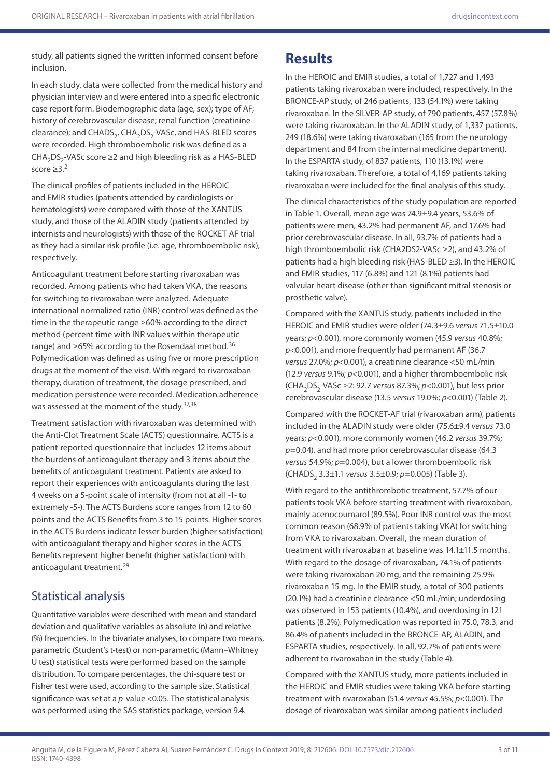study, all patients signed the written informed consent before inclusion.

In each study, data were collected from the medical history and physician interview and were entered into a specific electronic case report form. Biodemographic data (age, sex); type of AF; history of cerebrovascular disease; renal function (creatinine clearance); and CHADS<sub>2</sub>, CHA<sub>2</sub>DS<sub>2</sub>-VASc, and HAS-BLED scores were recorded. High thromboembolic risk was defined as a CHA<sub>2</sub>DS<sub>2</sub>-VASc score ≥2 and high bleeding risk as a HAS-BLED score  $\geq 3.2$ 

The clinical profiles of patients included in the HEROIC and EMIR studies (patients attended by cardiologists or hematologists) were compared with those of the XANTUS study, and those of the ALADIN study (patients attended by internists and neurologists) with those of the ROCKET-AF trial as they had a similar risk profile (i.e. age, thromboembolic risk), respectively.

Anticoagulant treatment before starting rivaroxaban was recorded. Among patients who had taken VKA, the reasons for switching to rivaroxaban were analyzed. Adequate international normalized ratio (INR) control was defined as the time in the therapeutic range ≥60% according to the direct method (percent time with INR values within therapeutic range) and  $\geq 65\%$  according to the Rosendaal method.<sup>36</sup> Polymedication was defined as using five or more prescription drugs at the moment of the visit. With regard to rivaroxaban therapy, duration of treatment, the dosage prescribed, and medication persistence were recorded. Medication adherence was assessed at the moment of the study.<sup>37,38</sup>

Treatment satisfaction with rivaroxaban was determined with the Anti-Clot Treatment Scale (ACTS) questionnaire. ACTS is a patient-reported questionnaire that includes 12 items about the burdens of anticoagulant therapy and 3 items about the benefits of anticoagulant treatment. Patients are asked to report their experiences with anticoagulants during the last 4 weeks on a 5-point scale of intensity (from not at all -1- to extremely -5-). The ACTS Burdens score ranges from 12 to 60 points and the ACTS Benefits from 3 to 15 points. Higher scores in the ACTS Burdens indicate lesser burden (higher satisfaction) with anticoagulant therapy and higher scores in the ACTS Benefits represent higher benefit (higher satisfaction) with anticoagulant treatment.<sup>29</sup>

## Statistical analysis

Quantitative variables were described with mean and standard deviation and qualitative variables as absolute (n) and relative (%) frequencies. In the bivariate analyses, to compare two means, parametric (Student's t-test) or non-parametric (Mann–Whitney U test) statistical tests were performed based on the sample distribution. To compare percentages, the chi-square test or Fisher test were used, according to the sample size. Statistical significance was set at a *p*-value <0.05. The statistical analysis was performed using the SAS statistics package, version 9.4.

# **Results**

In the HEROIC and EMIR studies, a total of 1,727 and 1,493 patients taking rivaroxaban were included, respectively. In the BRONCE-AP study, of 246 patients, 133 (54.1%) were taking rivaroxaban. In the SILVER-AP study, of 790 patients, 457 (57.8%) were taking rivaroxaban. In the ALADIN study, of 1,337 patients, 249 (18.6%) were taking rivaroxaban (165 from the neurology department and 84 from the internal medicine department). In the ESPARTA study, of 837 patients, 110 (13.1%) were taking rivaroxaban. Therefore, a total of 4,169 patients taking rivaroxaban were included for the final analysis of this study.

The clinical characteristics of the study population are reported in Table 1. Overall, mean age was 74.9±9.4 years, 53.6% of patients were men, 43.2% had permanent AF, and 17.6% had prior cerebrovascular disease. In all, 93.7% of patients had a high thromboembolic risk (CHA2DS2-VASc ≥2), and 43.2% of patients had a high bleeding risk (HAS-BLED ≥3). In the HEROIC and EMIR studies, 117 (6.8%) and 121 (8.1%) patients had valvular heart disease (other than significant mitral stenosis or prosthetic valve).

Compared with the XANTUS study, patients included in the HEROIC and EMIR studies were older (74.3±9.6 *versus* 71.5±10.0 years; *p*<0.001), more commonly women (45.9 *versus* 40.8%; *p*<0.001), and more frequently had permanent AF (36.7 *versus* 27.0%; *p*<0.001), a creatinine clearance <50 mL/min (12.9 *versus* 9.1%; *p*<0.001), and a higher thromboembolic risk (CHA2DS2-VASc ≥2: 92.7 *versus* 87.3%; *p*<0.001), but less prior cerebrovascular disease (13.5 *versus* 19.0%; *p*<0.001) (Table 2).

Compared with the ROCKET-AF trial (rivaroxaban arm), patients included in the ALADIN study were older (75.6±9.4 *versus* 73.0 years; *p*<0.001), more commonly women (46.2 *versus* 39.7%; *p*=0.04), and had more prior cerebrovascular disease (64.3 *versus* 54.9%; *p*=0.004), but a lower thromboembolic risk (CHADS2 3.3±1.1 *versus* 3.5±0.9; *p*=0.005) (Table 3).

With regard to the antithrombotic treatment, 57.7% of our patients took VKA before starting treatment with rivaroxaban, mainly acenocoumarol (89.5%). Poor INR control was the most common reason (68.9% of patients taking VKA) for switching from VKA to rivaroxaban. Overall, the mean duration of treatment with rivaroxaban at baseline was 14.1±11.5 months. With regard to the dosage of rivaroxaban, 74.1% of patients were taking rivaroxaban 20 mg, and the remaining 25.9% rivaroxaban 15 mg. In the EMIR study, a total of 300 patients (20.1%) had a creatinine clearance <50 mL/min; underdosing was observed in 153 patients (10.4%), and overdosing in 121 patients (8.2%). Polymedication was reported in 75.0, 78.3, and 86.4% of patients included in the BRONCE-AP, ALADIN, and ESPARTA studies, respectively. In all, 92.7% of patients were adherent to rivaroxaban in the study (Table 4).

Compared with the XANTUS study, more patients included in the HEROIC and EMIR studies were taking VKA before starting treatment with rivaroxaban (51.4 *versus* 45.5%; *p*<0.001). The dosage of rivaroxaban was similar among patients included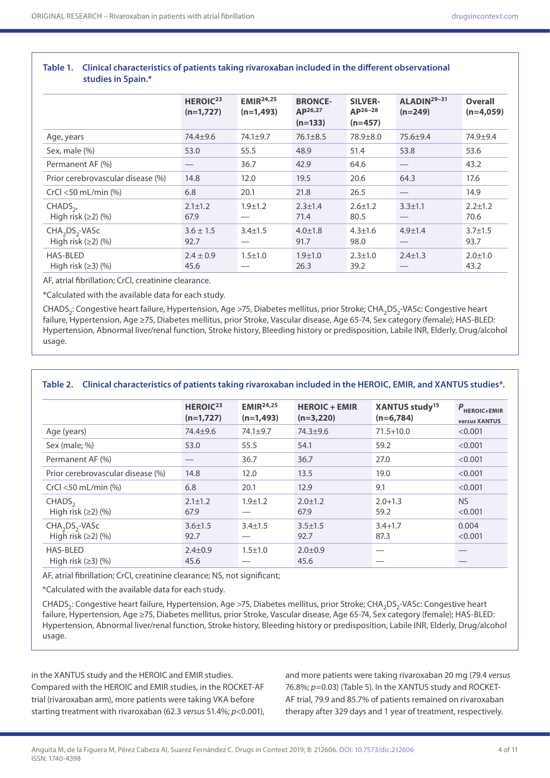|                                   | HEROIC <sup>23</sup><br>$(n=1,727)$ | EMIR <sup>24,25</sup><br>$(n=1,493)$ | <b>BRONCE-</b><br>AP26,27 | <b>SILVER-</b><br>AP26-28 | ALADIN <sup>29-31</sup><br>$(n=249)$ | <b>Overall</b><br>$(n=4,059)$ |
|-----------------------------------|-------------------------------------|--------------------------------------|---------------------------|---------------------------|--------------------------------------|-------------------------------|
|                                   |                                     |                                      | $(n=133)$                 | $(n=457)$                 |                                      |                               |
| Age, years                        | 74.4 <sup>+9</sup> .6               | 74.1±9.7                             | $76.1 \pm 8.5$            | 78.9±8.0                  | $75.6 + 9.4$                         | 74.9±9.4                      |
| Sex, male (%)                     | 53.0                                | 55.5                                 | 48.9                      | 51.4                      | 53.8                                 | 53.6                          |
| Permanent AF (%)                  |                                     | 36.7                                 | 42.9                      | 64.6                      | $\overbrace{\phantom{13333}}$        | 43.2                          |
| Prior cerebrovascular disease (%) | 14.8                                | 12.0                                 | 19.5                      | 20.6                      | 64.3                                 | 17.6                          |
| CrCl $<$ 50 mL/min $%$            | 6.8                                 | 20.1                                 | 21.8                      | 26.5                      |                                      | 14.9                          |
| $CHADS2$ ,                        | $2.1 \pm 1.2$                       | $1.9 \pm 1.2$                        | $2.3 \pm 1.4$             | $2.6 \pm 1.2$             | $3.3 \pm 1.1$                        | $2.2 \pm 1.2$                 |
| High risk $(\geq 2)$ (%)          | 67.9                                |                                      | 71.4                      | 80.5                      |                                      | 70.6                          |
| $CHA2DS2-VASC$                    | $3.6 \pm 1.5$                       | $3.4 \pm 1.5$                        | $4.0 \pm 1.8$             | $4.3 \pm 1.6$             | $4.9 \pm 1.4$                        | $3.7 \pm 1.5$                 |
| High risk $(\geq 2)$ $(\% )$      | 92.7                                |                                      | 91.7                      | 98.0                      |                                      | 93.7                          |
| <b>HAS-BLED</b>                   | $2.4 \pm 0.9$                       | $1.5 \pm 1.0$                        | $1.9 + 1.0$               | $2.3 \pm 1.0$             | $2.4 \pm 1.3$                        | $2.0 \pm 1.0$                 |
| High risk $(\geq 3)$ (%)          | 45.6                                |                                      | 26.3                      | 39.2                      |                                      | 43.2                          |

### **Table 1. Clinical characteristics of patients taking rivaroxaban included in the different observational studies in Spain.\***

AF, atrial fibrillation; CrCl, creatinine clearance.

\*Calculated with the available data for each study.

CHADS<sub>2</sub>: Congestive heart failure, Hypertension, Age >75, Diabetes mellitus, prior Stroke; CHA<sub>2</sub>DS<sub>2</sub>-VASc: Congestive heart failure, Hypertension, Age ≥75, Diabetes mellitus, prior Stroke, Vascular disease, Age 65-74, Sex category (female); HAS-BLED: Hypertension, Abnormal liver/renal function, Stroke history, Bleeding history or predisposition, Labile INR, Elderly, Drug/alcohol usage.

|                                                    | HEROIC <sup>23</sup><br>$(n=1,727)$ | EMIR <sup>24,25</sup><br>$(n=1,493)$ | <b>HEROIC + EMIR</b><br>$(n=3,220)$ | XANTUS study <sup>15</sup><br>$(n=6,784)$ | $P_{HEROIC+EMIR}$<br>versus XANTUS |
|----------------------------------------------------|-------------------------------------|--------------------------------------|-------------------------------------|-------------------------------------------|------------------------------------|
| Age (years)                                        | 74.4±9.6                            | 74.1±9.7                             | $74.3 \pm 9.6$                      | $71.5 + 10.0$                             | < 0.001                            |
| Sex (male; %)                                      | 53.0                                | 55.5                                 | 54.1                                | 59.2                                      | < 0.001                            |
| Permanent AF (%)                                   |                                     | 36.7                                 | 36.7                                | 27.0                                      | < 0.001                            |
| Prior cerebrovascular disease (%)                  | 14.8                                | 12.0                                 | 13.5                                | 19.0                                      | < 0.001                            |
| $CrCl < 50$ mL/min $%$                             | 6.8                                 | 20.1                                 | 12.9                                | 9.1                                       | < 0.001                            |
| CHADS <sub>2</sub><br>High risk $(\geq 2)$ $(\% )$ | $2.1 \pm 1.2$<br>67.9               | $1.9 \pm 1.2$                        | $2.0 \pm 1.2$<br>67.9               | $2.0 + 1.3$<br>59.2                       | <b>NS</b><br>< 0.001               |
| $CHA2DS2-VASC$<br>High risk $(\geq 2)$ $(\% )$     | $3.6 \pm 1.5$<br>92.7               | $3.4 \pm 1.5$                        | $3.5 \pm 1.5$<br>92.7               | $3.4 + 1.7$<br>87.3                       | 0.004<br>< 0.001                   |
| HAS-BLED<br>High risk $(\geq 3)$ $(\% )$           | $2.4 \pm 0.9$<br>45.6               | $1.5 \pm 1.0$                        | $2.0 \pm 0.9$<br>45.6               |                                           |                                    |

### **Table 2. Clinical characteristics of patients taking rivaroxaban included in the HEROIC, EMIR, and XANTUS studies\*.**

AF, atrial fibrillation; CrCl, creatinine clearance; NS, not significant;

\*Calculated with the available data for each study.

CHADS<sub>3</sub>: Congestive heart failure, Hypertension, Age >75, Diabetes mellitus, prior Stroke; CHA<sub>2</sub>DS<sub>3</sub>-VASc: Congestive heart failure, Hypertension, Age ≥75, Diabetes mellitus, prior Stroke, Vascular disease, Age 65-74, Sex category (female); HAS-BLED: Hypertension, Abnormal liver/renal function, Stroke history, Bleeding history or predisposition, Labile INR, Elderly, Drug/alcohol usage.

in the XANTUS study and the HEROIC and EMIR studies. Compared with the HEROIC and EMIR studies, in the ROCKET-AF trial (rivaroxaban arm), more patients were taking VKA before starting treatment with rivaroxaban (62.3 *versus* 51.4%; *p*<0.001),

and more patients were taking rivaroxaban 20 mg (79.4 *versus* 76.8%;  $p=0.03$ ) (Table 5). In the XANTUS study and ROCKET-AF trial, 79.9 and 85.7% of patients remained on rivaroxaban therapy after 329 days and 1 year of treatment, respectively.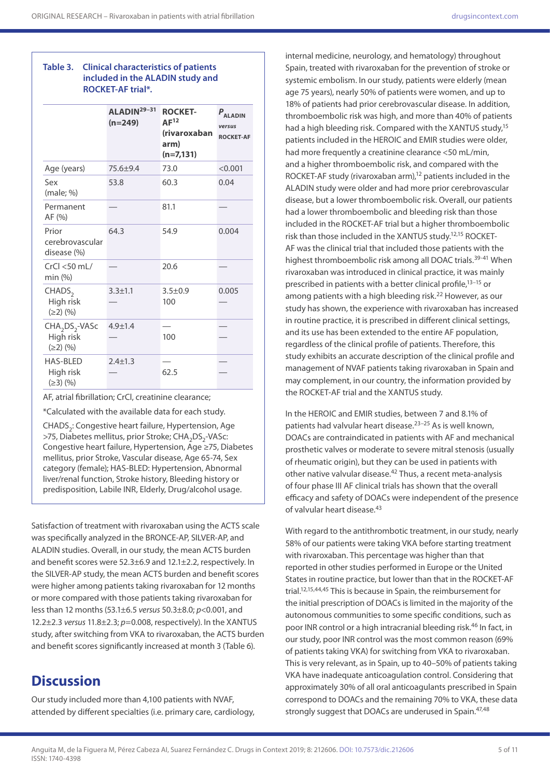### **Table 3. Clinical characteristics of patients included in the ALADIN study and ROCKET-AF trial\*.**

|                                                                       | ALADIN <sup>29-31</sup><br>$(n=249)$ | <b>ROCKET-</b><br>AF <sup>12</sup><br>(rivaroxaban<br>arm)<br>$(n=7, 131)$ | $P_{ALADIN}$<br>versus<br><b>ROCKET-AF</b> |  |  |  |  |
|-----------------------------------------------------------------------|--------------------------------------|----------------------------------------------------------------------------|--------------------------------------------|--|--|--|--|
| Age (years)                                                           | 75.6±9.4                             | 73.0                                                                       | < 0.001                                    |  |  |  |  |
| Sex<br>(male; %)                                                      | 53.8                                 | 60.3                                                                       | 0.04                                       |  |  |  |  |
| Permanent<br>AF(%)                                                    |                                      | 81.1                                                                       |                                            |  |  |  |  |
| Prior<br>cerebrovascular<br>disease (%)                               | 64.3                                 | 54.9                                                                       | 0.004                                      |  |  |  |  |
| $CrCl < 50$ mL/<br>min (%)                                            |                                      | 20.6                                                                       |                                            |  |  |  |  |
| CHADS <sub>2</sub><br>High risk<br>$(\geq 2)$ (%)                     | $3.3 \pm 1.1$                        | $3.5 \pm 0.9$<br>100                                                       | 0.005                                      |  |  |  |  |
| CHA <sub>2</sub> DS <sub>2</sub> -VASc<br>High risk<br>$(\geq 2)$ (%) | $4.9 + 1.4$                          | 100                                                                        |                                            |  |  |  |  |
| <b>HAS-BLED</b><br>High risk<br>$(\geq 3)$ (%)                        | $2.4 \pm 1.3$                        | 62.5                                                                       |                                            |  |  |  |  |

AF, atrial fibrillation; CrCl, creatinine clearance;

\*Calculated with the available data for each study.

CHADS<sub>2</sub>: Congestive heart failure, Hypertension, Age >75, Diabetes mellitus, prior Stroke; CHA<sub>2</sub>DS<sub>2</sub>-VASc: Congestive heart failure, Hypertension, Age ≥75, Diabetes mellitus, prior Stroke, Vascular disease, Age 65-74, Sex category (female); HAS-BLED: Hypertension, Abnormal liver/renal function, Stroke history, Bleeding history or predisposition, Labile INR, Elderly, Drug/alcohol usage.

Satisfaction of treatment with rivaroxaban using the ACTS scale was specifically analyzed in the BRONCE-AP, SILVER-AP, and ALADIN studies. Overall, in our study, the mean ACTS burden and benefit scores were 52.3±6.9 and 12.1±2.2, respectively. In the SILVER-AP study, the mean ACTS burden and benefit scores were higher among patients taking rivaroxaban for 12 months or more compared with those patients taking rivaroxaban for less than 12 months (53.1±6.5 *versus* 50.3±8.0; *p*<0.001, and 12.2±2.3 *versus* 11.8±2.3; *p*=0.008, respectively). In the XANTUS study, after switching from VKA to rivaroxaban, the ACTS burden and benefit scores significantly increased at month 3 (Table 6).

# **Discussion**

Our study included more than 4,100 patients with NVAF, attended by different specialties (i.e. primary care, cardiology,

internal medicine, neurology, and hematology) throughout Spain, treated with rivaroxaban for the prevention of stroke or systemic embolism. In our study, patients were elderly (mean age 75 years), nearly 50% of patients were women, and up to 18% of patients had prior cerebrovascular disease. In addition, thromboembolic risk was high, and more than 40% of patients had a high bleeding risk. Compared with the XANTUS study,<sup>15</sup> patients included in the HEROIC and EMIR studies were older, had more frequently a creatinine clearance <50 mL/min, and a higher thromboembolic risk, and compared with the ROCKET-AF study (rivaroxaban arm),<sup>12</sup> patients included in the ALADIN study were older and had more prior cerebrovascular disease, but a lower thromboembolic risk. Overall, our patients had a lower thromboembolic and bleeding risk than those included in the ROCKET-AF trial but a higher thromboembolic risk than those included in the XANTUS study.12,15 ROCKET-AF was the clinical trial that included those patients with the highest thromboembolic risk among all DOAC trials.<sup>39-41</sup> When rivaroxaban was introduced in clinical practice, it was mainly prescribed in patients with a better clinical profile,<sup>13-15</sup> or among patients with a high bleeding risk.22 However, as our study has shown, the experience with rivaroxaban has increased in routine practice, it is prescribed in different clinical settings, and its use has been extended to the entire AF population, regardless of the clinical profile of patients. Therefore, this study exhibits an accurate description of the clinical profile and management of NVAF patients taking rivaroxaban in Spain and may complement, in our country, the information provided by the ROCKET-AF trial and the XANTUS study.

In the HEROIC and EMIR studies, between 7 and 8.1% of patients had valvular heart disease.23–25 As is well known, DOACs are contraindicated in patients with AF and mechanical prosthetic valves or moderate to severe mitral stenosis (usually of rheumatic origin), but they can be used in patients with other native valvular disease.<sup>42</sup> Thus, a recent meta-analysis of four phase III AF clinical trials has shown that the overall efficacy and safety of DOACs were independent of the presence of valvular heart disease.<sup>43</sup>

With regard to the antithrombotic treatment, in our study, nearly 58% of our patients were taking VKA before starting treatment with rivaroxaban. This percentage was higher than that reported in other studies performed in Europe or the United States in routine practice, but lower than that in the ROCKET-AF trial.12,15,44,45 This is because in Spain, the reimbursement for the initial prescription of DOACs is limited in the majority of the autonomous communities to some specific conditions, such as poor INR control or a high intracranial bleeding risk.<sup>46</sup> In fact, in our study, poor INR control was the most common reason (69% of patients taking VKA) for switching from VKA to rivaroxaban. This is very relevant, as in Spain, up to 40–50% of patients taking VKA have inadequate anticoagulation control. Considering that approximately 30% of all oral anticoagulants prescribed in Spain correspond to DOACs and the remaining 70% to VKA, these data strongly suggest that DOACs are underused in Spain.<sup>47,48</sup>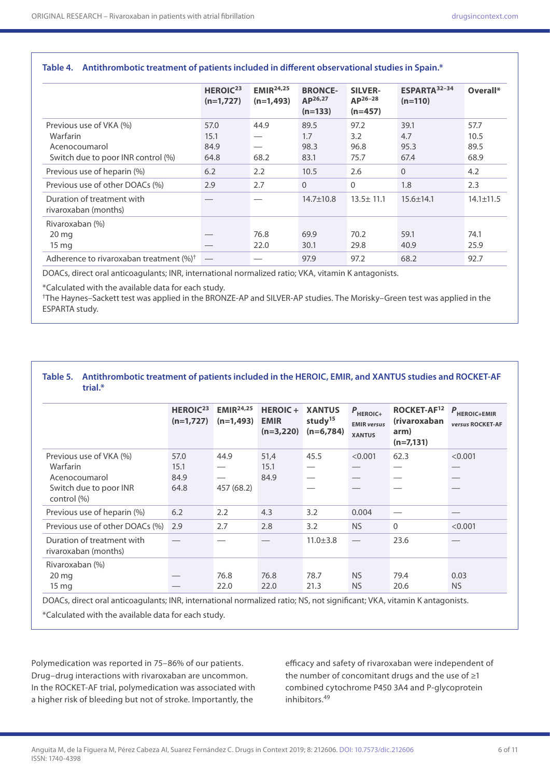|                                                                                            | HEROIC <sup>23</sup><br>$(n=1,727)$ | EMIR <sup>24,25</sup><br>$(n=1,493)$ | <b>BRONCE-</b><br>AP <sup>26,27</sup><br>$(n=133)$ | <b>SILVER-</b><br>$AP^{26-28}$<br>$(n=457)$ | ESPARTA <sup>32-34</sup><br>$(n=110)$ | Overall*                     |
|--------------------------------------------------------------------------------------------|-------------------------------------|--------------------------------------|----------------------------------------------------|---------------------------------------------|---------------------------------------|------------------------------|
| Previous use of VKA (%)<br>Warfarin<br>Acenocoumarol<br>Switch due to poor INR control (%) | 57.0<br>15.1<br>84.9<br>64.8        | 44.9<br>68.2                         | 89.5<br>1.7<br>98.3<br>83.1                        | 97.2<br>3.2<br>96.8<br>75.7                 | 39.1<br>4.7<br>95.3<br>67.4           | 57.7<br>10.5<br>89.5<br>68.9 |
| Previous use of heparin (%)<br>Previous use of other DOACs (%)                             | 6.2<br>2.9                          | 2.2<br>2.7                           | 10.5<br>$\Omega$                                   | 2.6<br>$\Omega$                             | $\Omega$<br>1.8                       | 4.2<br>2.3                   |
| Duration of treatment with<br>rivaroxaban (months)                                         |                                     |                                      | $14.7 \pm 10.8$                                    | $13.5 \pm 11.1$                             | $15.6 \pm 14.1$                       | $14.1 \pm 11.5$              |
| Rivaroxaban (%)<br>$20 \,\mathrm{mg}$<br>$15 \text{ mg}$                                   |                                     | 76.8<br>22.0                         | 69.9<br>30.1                                       | 70.2<br>29.8                                | 59.1<br>40.9                          | 74.1<br>25.9                 |
| Adherence to rivaroxaban treatment $(\%)^{\dagger}$                                        |                                     |                                      | 97.9                                               | 97.2                                        | 68.2                                  | 92.7                         |

#### **Table 4. Antithrombotic treatment of patients included in different observational studies in Spain.\***

DOACs, direct oral anticoagulants; INR, international normalized ratio; VKA, vitamin K antagonists.

\*Calculated with the available data for each study.

†The Haynes–Sackett test was applied in the BRONZE-AP and SILVER-AP studies. The Morisky–Green test was applied in the ESPARTA study.

#### **Table 5. Antithrombotic treatment of patients included in the HEROIC, EMIR, and XANTUS studies and ROCKET-AF trial.\***

|                                                    | HEROIC <sup>23</sup><br>$(n=1,727)$ | EMIR <sup>24,25</sup><br>$(n=1,493)$ | <b>HEROIC+</b><br><b>EMIR</b><br>$(n=3,220)$ | <b>XANTUS</b><br>study <sup>15</sup><br>$(n=6,784)$ | $P$ <sub>HEROIC+</sub><br><b>EMIR</b> versus<br><b>XANTUS</b> | ROCKET-AF <sup>12</sup><br><i>(rivaroxaban</i><br>arm)<br>$(n=7,131)$ | $P$ HEROIC+EMIR<br>versus ROCKET-AF |
|----------------------------------------------------|-------------------------------------|--------------------------------------|----------------------------------------------|-----------------------------------------------------|---------------------------------------------------------------|-----------------------------------------------------------------------|-------------------------------------|
| Previous use of VKA (%)                            | 57.0                                | 44.9                                 | 51,4                                         | 45.5                                                | < 0.001                                                       | 62.3                                                                  | < 0.001                             |
| Warfarin                                           | 15.1                                |                                      | 15.1                                         |                                                     |                                                               |                                                                       |                                     |
| Acenocoumarol                                      | 84.9                                |                                      | 84.9                                         |                                                     |                                                               |                                                                       |                                     |
| Switch due to poor INR<br>control (%)              | 64.8                                | 457 (68.2)                           |                                              |                                                     |                                                               |                                                                       |                                     |
| Previous use of heparin (%)                        | 6.2                                 | 2.2                                  | 4.3                                          | 3.2                                                 | 0.004                                                         |                                                                       |                                     |
| Previous use of other DOACs (%)                    | 2.9                                 | 2.7                                  | 2.8                                          | 3.2                                                 | <b>NS</b>                                                     | $\mathbf 0$                                                           | < 0.001                             |
| Duration of treatment with<br>rivaroxaban (months) |                                     |                                      |                                              | $11.0 \pm 3.8$                                      |                                                               | 23.6                                                                  |                                     |
| Rivaroxaban (%)                                    |                                     |                                      |                                              |                                                     |                                                               |                                                                       |                                     |
| $20 \,\mathrm{mg}$                                 |                                     | 76.8                                 | 76.8                                         | 78.7                                                | <b>NS</b>                                                     | 79.4                                                                  | 0.03                                |
| $15 \text{ mg}$                                    |                                     | 22.0                                 | 22.0                                         | 21.3                                                | <b>NS</b>                                                     | 20.6                                                                  | <b>NS</b>                           |

\*Calculated with the available data for each study.

Polymedication was reported in 75–86% of our patients. Drug–drug interactions with rivaroxaban are uncommon. In the ROCKET-AF trial, polymedication was associated with a higher risk of bleeding but not of stroke. Importantly, the

efficacy and safety of rivaroxaban were independent of the number of concomitant drugs and the use of  $\geq 1$ combined cytochrome P450 3A4 and P-glycoprotein inhibitors.49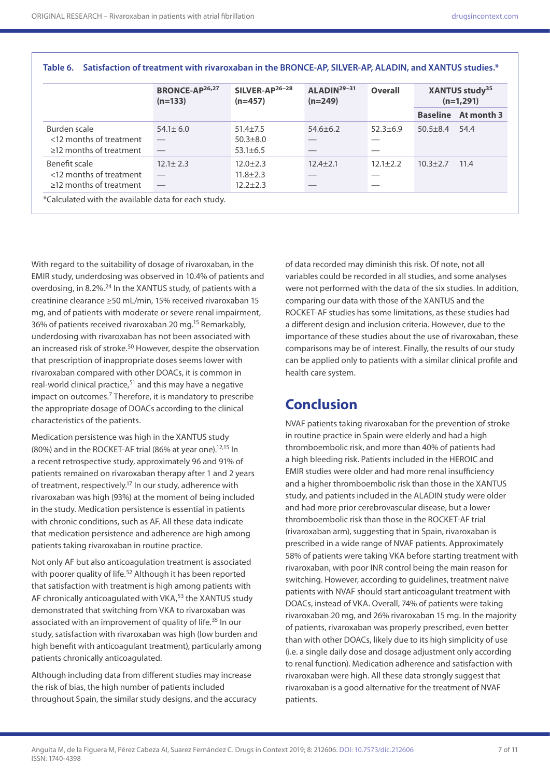|                                                                           | <b>BRONCE-AP26,27</b><br>$(n=133)$ | SILVER-AP <sup>26-28</sup><br>$(n=457)$          | $ALADIN29-31$<br>$(n=249)$ | <b>Overall</b> | XANTUS study <sup>35</sup><br>$(n=1,291)$ |                            |
|---------------------------------------------------------------------------|------------------------------------|--------------------------------------------------|----------------------------|----------------|-------------------------------------------|----------------------------|
|                                                                           |                                    |                                                  |                            |                |                                           | <b>Baseline</b> At month 3 |
| Burden scale<br><12 months of treatment<br>$\geq$ 12 months of treatment  | $54.1 \pm 6.0$                     | $51.4 + 7.5$<br>$50.3 + 8.0$<br>$53.1 \pm 6.5$   | $54.6 + 6.2$               | $52.3 + 6.9$   | $50.5 \pm 8.4$                            | 54.4                       |
| Benefit scale<br><12 months of treatment<br>$\geq$ 12 months of treatment | $12.1 \pm 2.3$                     | $12.0 \pm 2.3$<br>$11.8 \pm 2.3$<br>$12.2 + 2.3$ | $12.4 + 2.1$               | $12.1 \pm 2.2$ | $10.3 + 2.7$                              | 11.4                       |

**Table 6. Satisfaction of treatment with rivaroxaban in the BRONCE-AP, SILVER-AP, ALADIN, and XANTUS studies.\***

With regard to the suitability of dosage of rivaroxaban, in the EMIR study, underdosing was observed in 10.4% of patients and overdosing, in 8.2%.24 In the XANTUS study, of patients with a creatinine clearance ≥50 mL/min, 15% received rivaroxaban 15 mg, and of patients with moderate or severe renal impairment, 36% of patients received rivaroxaban 20 mg.15 Remarkably, underdosing with rivaroxaban has not been associated with an increased risk of stroke.<sup>50</sup> However, despite the observation that prescription of inappropriate doses seems lower with rivaroxaban compared with other DOACs, it is common in real-world clinical practice, $51$  and this may have a negative impact on outcomes. $<sup>7</sup>$  Therefore, it is mandatory to prescribe</sup> the appropriate dosage of DOACs according to the clinical characteristics of the patients.

Medication persistence was high in the XANTUS study (80%) and in the ROCKET-AF trial (86% at year one).<sup>12,15</sup> In a recent retrospective study, approximately 96 and 91% of patients remained on rivaroxaban therapy after 1 and 2 years of treatment, respectively.17 In our study, adherence with rivaroxaban was high (93%) at the moment of being included in the study. Medication persistence is essential in patients with chronic conditions, such as AF. All these data indicate that medication persistence and adherence are high among patients taking rivaroxaban in routine practice.

Not only AF but also anticoagulation treatment is associated with poorer quality of life.<sup>52</sup> Although it has been reported that satisfaction with treatment is high among patients with AF chronically anticoagulated with VKA, $53$  the XANTUS study demonstrated that switching from VKA to rivaroxaban was associated with an improvement of quality of life.<sup>35</sup> In our study, satisfaction with rivaroxaban was high (low burden and high benefit with anticoagulant treatment), particularly among patients chronically anticoagulated.

Although including data from different studies may increase the risk of bias, the high number of patients included throughout Spain, the similar study designs, and the accuracy

of data recorded may diminish this risk. Of note, not all variables could be recorded in all studies, and some analyses were not performed with the data of the six studies. In addition, comparing our data with those of the XANTUS and the ROCKET-AF studies has some limitations, as these studies had a different design and inclusion criteria. However, due to the importance of these studies about the use of rivaroxaban, these comparisons may be of interest. Finally, the results of our study can be applied only to patients with a similar clinical profile and health care system.

## **Conclusion**

NVAF patients taking rivaroxaban for the prevention of stroke in routine practice in Spain were elderly and had a high thromboembolic risk, and more than 40% of patients had a high bleeding risk. Patients included in the HEROIC and EMIR studies were older and had more renal insufficiency and a higher thromboembolic risk than those in the XANTUS study, and patients included in the ALADIN study were older and had more prior cerebrovascular disease, but a lower thromboembolic risk than those in the ROCKET-AF trial (rivaroxaban arm), suggesting that in Spain, rivaroxaban is prescribed in a wide range of NVAF patients. Approximately 58% of patients were taking VKA before starting treatment with rivaroxaban, with poor INR control being the main reason for switching. However, according to guidelines, treatment naïve patients with NVAF should start anticoagulant treatment with DOACs, instead of VKA. Overall, 74% of patients were taking rivaroxaban 20 mg, and 26% rivaroxaban 15 mg. In the majority of patients, rivaroxaban was properly prescribed, even better than with other DOACs, likely due to its high simplicity of use (i.e. a single daily dose and dosage adjustment only according to renal function). Medication adherence and satisfaction with rivaroxaban were high. All these data strongly suggest that rivaroxaban is a good alternative for the treatment of NVAF patients.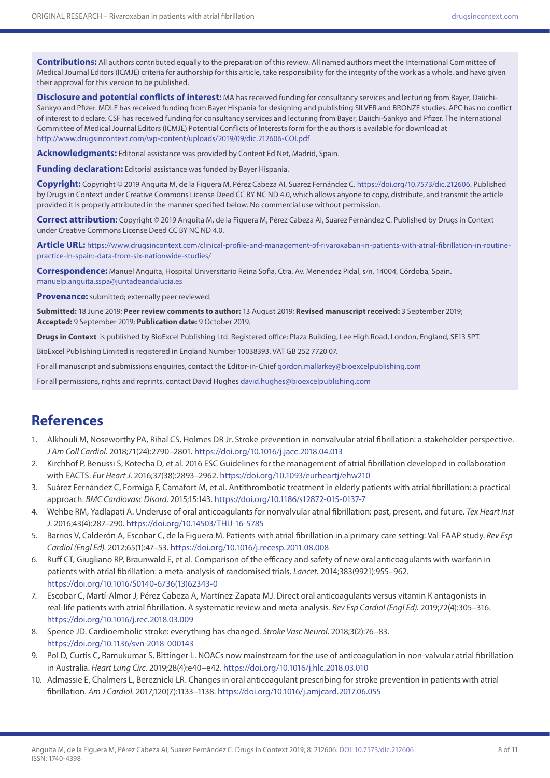**Contributions:** All authors contributed equally to the preparation of this review. All named authors meet the International Committee of Medical Journal Editors (ICMJE) criteria for authorship for this article, take responsibility for the integrity of the work as a whole, and have given their approval for this version to be published.

**Disclosure and potential conflicts of interest:** MA has received funding for consultancy services and lecturing from Bayer, Daiichi-Sankyo and Pfizer. MDLF has received funding from Bayer Hispania for designing and publishing SILVER and BRONZE studies. APC has no conflict of interest to declare. CSF has received funding for consultancy services and lecturing from Bayer, Daiichi-Sankyo and Pfizer. The International Committee of Medical Journal Editors (ICMJE) Potential Conflicts of Interests form for the authors is available for download at <http://www.drugsincontext.com/wp-content/uploads/2019/09/dic.212606-COI.pdf>

**Acknowledgments:** Editorial assistance was provided by Content Ed Net, Madrid, Spain.

**Funding declaration:** Editorial assistance was funded by Bayer Hispania.

**Copyright:** Copyright © 2019 Anguita M, de la Figuera M, Pérez Cabeza AI, Suarez Fernández C. <https://doi.org/10.7573/dic.212606>. Published by Drugs in Context under Creative Commons License Deed CC BY NC ND 4.0, which allows anyone to copy, distribute, and transmit the article provided it is properly attributed in the manner specified below. No commercial use without permission.

**Correct attribution:** Copyright © 2019 Anguita M, de la Figuera M, Pérez Cabeza AI, Suarez Fernández C. Published by Drugs in Context under Creative Commons License Deed CC BY NC ND 4.0.

**Article URL:** [https://www.drugsincontext.com/clinical-profile-and-management-of-rivaroxaban-in-patients-with-atrial-fibrillation-in-routine](https://www.drugsincontext.com/clinical-profile-and-management-of-rivaroxaban-in-patients-with-atrial-fibrillation-in-routine-practice-in-spain:-data-from-six-nationwide-studies/)[practice-in-spain:-data-from-six-nationwide-studies/](https://www.drugsincontext.com/clinical-profile-and-management-of-rivaroxaban-in-patients-with-atrial-fibrillation-in-routine-practice-in-spain:-data-from-six-nationwide-studies/)

**Correspondence:** Manuel Anguita, Hospital Universitario Reina Sofia, Ctra. Av. Menendez Pidal, s/n, 14004, Córdoba, Spain. [manuelp.anguita.sspa@juntadeandalucia.es](mailto:manuelp.anguita.sspa@juntadeandalucia.es)

**Provenance:** submitted; externally peer reviewed.

**Submitted:** 18 June 2019; **Peer review comments to author:** 13 August 2019; **Revised manuscript received:** 3 September 2019; **Accepted:** 9 September 2019; **Publication date:** 9 October 2019.

**Drugs in Context** is published by BioExcel Publishing Ltd. Registered office: Plaza Building, Lee High Road, London, England, SE13 5PT.

BioExcel Publishing Limited is registered in England Number 10038393. VAT GB 252 7720 07.

For all manuscript and submissions enquiries, contact the Editor-in-Chief [gordon.mallarkey@bioexcelpublishing.com](mailto:gordon.mallarkey@bioexcelpublishing.com)

For all permissions, rights and reprints, contact David Hughes [david.hughes@bioexcelpublishing.com](http://david.hughes@bioexcelpublishing.com)

## **References**

- 1. [Alkhouli M,](file:///D:\https:\www.ncbi.nlm.nih.gov\pubmed\) [Noseworthy PA,](file:///D:\https:\www.ncbi.nlm.nih.gov\pubmed\) Rihal CS, [Holmes DR Jr.](file:///D:\https:\www.ncbi.nlm.nih.gov\pubmed\) Stroke prevention in nonvalvular atrial fibrillation: a stakeholder perspective. *J Am Coll Cardiol*. 2018;71(24):2790–2801. <https://doi.org/10.1016/j.jacc.2018.04.013>
- 2. [Kirchhof P](file:///D:\https:\www.ncbi.nlm.nih.gov\pubmed\), Benussi S, [Kotecha D,](file:///D:\https:\www.ncbi.nlm.nih.gov\pubmed\) et al. 2016 ESC Guidelines for the management of atrial fibrillation developed in collaboration with EACTS. *Eur Heart J*. 2016;37(38):2893–2962.<https://doi.org/10.1093/eurheartj/ehw210>
- 3. Suárez Fernández C, Formiga F, Camafort M, et al. [Antithrombotic treatment in elderly patients with atrial fibrillation: a practical](https://www.ncbi.nlm.nih.gov/pubmed/26530138)  [approach.](https://www.ncbi.nlm.nih.gov/pubmed/26530138) *BMC Cardiovasc Disord*. 2015;15:143.<https://doi.org/10.1186/s12872-015-0137-7>
- 4. Wehbe RM, Yadlapati A. Underuse of oral anticoagulants for nonvalvular atrial fibrillation: past, present, and future. *Tex Heart Inst J*. 2016;43(4):287–290. <https://doi.org/10.14503/THIJ-16-5785>
- 5. Barrios V, Calderón A, Escobar C, de la Figuera M. [Patients with atrial fibrillation in a primary care setting: Val-FAAP study.](https://www.ncbi.nlm.nih.gov/pubmed/22054913) *Rev Esp Cardiol (Engl Ed)*. 2012;65(1):47–53. <https://doi.org/10.1016/j.recesp.2011.08.008>
- 6. Ruff CT, Giugliano RP, Braunwald E, et al. [Comparison of the efficacy and safety of new oral anticoagulants with warfarin in](http://www.ncbi.nlm.nih.gov/pubmed/24315724)  [patients with atrial fibrillation: a meta-analysis of randomised trials.](http://www.ncbi.nlm.nih.gov/pubmed/24315724) *Lancet*. 2014;383(9921):955–962. [https://doi.org/10.1016/S0140-6736\(13\)62343-0](https://doi.org/10.1016/S0140-6736(13)62343-0)
- 7. Escobar C, Martí-Almor J, Pérez Cabeza A, Martínez-Zapata MJ. Direct oral anticoagulants versus vitamin K antagonists in real-life patients with atrial fibrillation. A systematic review and meta-analysis. *Rev Esp Cardiol (Engl Ed)*. 2019;72(4):305–316. <https://doi.org/10.1016/j.rec.2018.03.009>
- 8. [Spence JD.](file:///D:\https:\www.ncbi.nlm.nih.gov\pubmed\) Cardioembolic stroke: everything has changed. *Stroke Vasc Neurol*. 2018;3(2):76–83. <https://doi.org/10.1136/svn-2018-000143>
- 9. [Pol D,](file:///D:\https:\www.ncbi.nlm.nih.gov\pubmed\) [Curtis C](file:///D:\https:\www.ncbi.nlm.nih.gov\pubmed\), Ramukumar S, Bittinger L. NOACs now mainstream for the use of anticoagulation in non-valvular atrial fibrillation in Australia. *Heart Lung Circ*. 2019;28(4):e40–e42. <https://doi.org/10.1016/j.hlc.2018.03.010>
- 10. [Admassie E,](file:///D:\https:\www.ncbi.nlm.nih.gov\pubmed\) [Chalmers L,](file:///D:\https:\www.ncbi.nlm.nih.gov\pubmed\) [Bereznicki LR](file:///D:\https:\www.ncbi.nlm.nih.gov\pubmed\). Changes in oral anticoagulant prescribing for stroke prevention in patients with atrial fibrillation. *Am J Cardiol*. 2017;120(7):1133–1138. <https://doi.org/10.1016/j.amjcard.2017.06.055>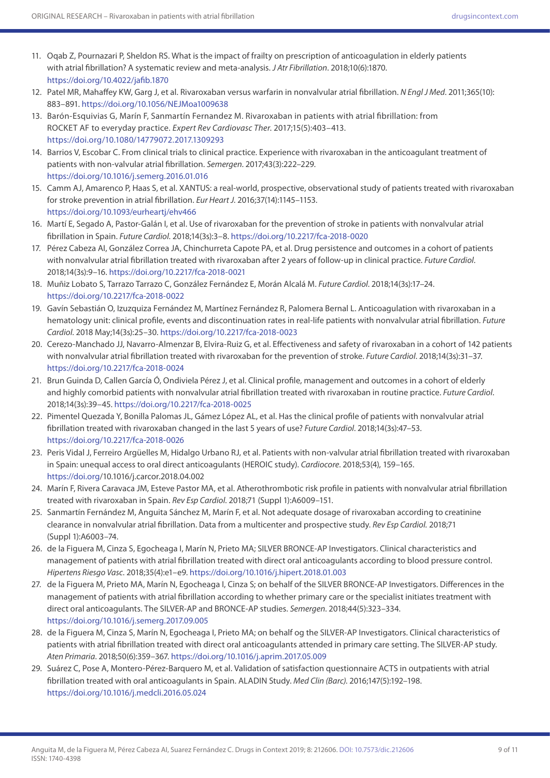- 11. [Oqab Z](file:///D:\https:\www.ncbi.nlm.nih.gov\pubmed\), [Pournazari P,](file:///D:\https:\www.ncbi.nlm.nih.gov\pubmed\) [Sheldon RS.](file:///D:\https:\www.ncbi.nlm.nih.gov\pubmed\) What is the impact of frailty on prescription of anticoagulation in elderly patients with atrial fibrillation? A systematic review and meta-analysis. *J Atr Fibrillation*. 2018;10(6):1870. <https://doi.org/10.4022/jafib.1870>
- 12. [Patel MR,](file:///D:\https:\www.ncbi.nlm.nih.gov\pubmed\) [Mahaffey KW,](file:///D:\https:\www.ncbi.nlm.nih.gov\pubmed\) [Garg J,](file:///D:\https:\www.ncbi.nlm.nih.gov\pubmed\) et al. Rivaroxaban versus warfarin in nonvalvular atrial fibrillation. *N Engl J Med*. 2011;365(10): 883–891. <https://doi.org/10.1056/NEJMoa1009638>
- 13. Barón-Esquivias G, Marín F, Sanmartín Fernandez M. Rivaroxaban in patients with atrial fibrillation: from ROCKET AF to everyday practice. *Expert Rev Cardiovasc Ther*. 2017;15(5):403–413. <https://doi.org/10.1080/14779072.2017.1309293>
- 14. Barrios V, Escobar C. [From clinical trials to clinical practice. Experience with rivaroxaban in the anticoagulant treatment of](https://www.ncbi.nlm.nih.gov/pubmed/26951931)  [patients with non-valvular atrial fibrillation.](https://www.ncbi.nlm.nih.gov/pubmed/26951931) *Semergen*. 2017;43(3):222–229. <https://doi.org/10.1016/j.semerg.2016.01.016>
- 15. [Camm AJ,](D:\http:\www.ncbi.nlm.nih.gov\pubmed\) Amarenco P, Haas S, et al. XANTUS: a real-world, prospective, observational study of patients treated with rivaroxaban for stroke prevention in atrial fibrillation. *Eur Heart J*. 2016;37(14):1145–1153. <https://doi.org/10.1093/eurheartj/ehv466>
- 16. Martí E, Segado A, Pastor-Galán I, et al. [Use of rivaroxaban for the prevention of stroke in patients with nonvalvular atrial](https://www.ncbi.nlm.nih.gov/pubmed/29848095)  [fibrillation in Spain.](https://www.ncbi.nlm.nih.gov/pubmed/29848095) *Future Cardiol*. 2018;14(3s):3–8.<https://doi.org/10.2217/fca-2018-0020>
- 17. Pérez Cabeza AI, González Correa JA, Chinchurreta Capote PA, et al. [Drug persistence and outcomes in a cohort of patients](https://www.ncbi.nlm.nih.gov/pubmed/29848094)  [with nonvalvular atrial fibrillation treated with rivaroxaban after 2 years of follow-up in clinical practice.](https://www.ncbi.nlm.nih.gov/pubmed/29848094) *Future Cardiol*. 2018;14(3s):9–16.<https://doi.org/10.2217/fca-2018-0021>
- 18. Muñiz Lobato S, Tarrazo Tarrazo C, González Fernández E, Morán Alcalá M. *Future Cardiol*. 2018;14(3s):17–24. <https://doi.org/10.2217/fca-2018-0022>
- 19. Gavín Sebastián O, Izuzquiza Fernández M, Martínez Fernández R, Palomera Bernal L. [Anticoagulation with rivaroxaban in a](https://www.ncbi.nlm.nih.gov/pubmed/29848092)  [hematology unit: clinical profile, events and discontinuation rates in real-life patients with nonvalvular atrial fibrillation.](https://www.ncbi.nlm.nih.gov/pubmed/29848092) *Future Cardiol*. 2018 May;14(3s):25–30. <https://doi.org/10.2217/fca-2018-0023>
- 20. Cerezo-Manchado JJ, Navarro-Almenzar B, Elvira-Ruiz G, et al. [Effectiveness and safety of rivaroxaban in a cohort of 142 patients](https://www.ncbi.nlm.nih.gov/pubmed/29848091)  [with nonvalvular atrial fibrillation treated with rivaroxaban for the prevention of stroke.](https://www.ncbi.nlm.nih.gov/pubmed/29848091) *Future Cardiol*. 2018;14(3s):31–37. <https://doi.org/10.2217/fca-2018-0024>
- 21. Brun Guinda D, Callen García Ó, Ondiviela Pérez J, et al. [Clinical profile, management and outcomes in a cohort of elderly](https://www.ncbi.nlm.nih.gov/pubmed/29848090)  [and highly comorbid patients with nonvalvular atrial fibrillation treated with rivaroxaban in routine practice.](https://www.ncbi.nlm.nih.gov/pubmed/29848090) *Future Cardiol*. 2018;14(3s):39–45. <https://doi.org/10.2217/fca-2018-0025>
- 22. Pimentel Quezada Y, Bonilla Palomas JL, Gámez López AL, et al. [Has the clinical profile of patients with nonvalvular atrial](https://www.ncbi.nlm.nih.gov/pubmed/29848089)  [fibrillation treated with rivaroxaban changed in the last 5 years of use?](https://www.ncbi.nlm.nih.gov/pubmed/29848089) *Future Cardiol*. 2018;14(3s):47–53. <https://doi.org/10.2217/fca-2018-0026>
- 23. Peris Vidal J, Ferreiro Argüelles M, Hidalgo Urbano RJ, et al. Patients with non-valvular atrial fibrillation treated with rivaroxaban in Spain: unequal access to oral direct anticoagulants (HEROIC study). *Cardiocore*. 2018;53(4), 159–165. <https://doi.org/10.1016/j.carcor.2018.04.002>
- 24. Marín F, Rivera Caravaca JM, Esteve Pastor MA, et al. Atherothrombotic risk profile in patients with nonvalvular atrial fibrillation treated with rivaroxaban in Spain. *Rev Esp Cardiol*. 2018;71 (Suppl 1):A6009–151.
- 25. Sanmartín Fernández M, Anguita Sánchez M, Marín F, et al. Not adequate dosage of rivaroxaban according to creatinine clearance in nonvalvular atrial fibrillation. Data from a multicenter and prospective study. *Rev Esp Cardiol.* 2018;71 (Suppl 1):A6003–74.
- 26. de la Figuera M, Cinza S, Egocheaga I, Marín N, Prieto MA; SILVER BRONCE-AP Investigators. [Clinical characteristics and](https://www.ncbi.nlm.nih.gov/pubmed/29454558)  [management of patients with atrial fibrillation treated with direct oral anticoagulants according to blood pressure control.](https://www.ncbi.nlm.nih.gov/pubmed/29454558) *Hipertens Riesgo Vasc*. 2018;35(4):e1–e9.<https://doi.org/10.1016/j.hipert.2018.01.003>
- 27. de la Figuera M, Prieto MA, Marín N, Egocheaga I, Cinza S; on behalf of the SILVER BRONCE-AP Investigators. [Differences in the](https://www.ncbi.nlm.nih.gov/pubmed/29174522)  [management of patients with atrial fibrillation according to whether primary care or the specialist initiates treatment with](https://www.ncbi.nlm.nih.gov/pubmed/29174522)  [direct oral anticoagulants. The SILVER-AP and BRONCE-AP studies.](https://www.ncbi.nlm.nih.gov/pubmed/29174522) *Semergen*. 2018;44(5):323–334. <https://doi.org/10.1016/j.semerg.2017.09.005>
- 28. de la Figuera M, Cinza S, Marín N, Egocheaga I, Prieto MA; on behalf og the SILVER-AP Investigators. [Clinical characteristics of](https://www.ncbi.nlm.nih.gov/pubmed/28764897)  [patients with atrial fibrillation treated with direct oral anticoagulants attended in primary care setting. The SILVER-AP study.](https://www.ncbi.nlm.nih.gov/pubmed/28764897) *Aten Primaria*. 2018;50(6):359–367.<https://doi.org/10.1016/j.aprim.2017.05.009>
- 29. [Suárez C](https://www.ncbi.nlm.nih.gov/pubmed/?term=Su%C3%A1rez C%5BAuthor%5D&cauthor=true&cauthor_uid=27423653), [Pose A,](file:///D:\https:\www.ncbi.nlm.nih.gov\pubmed\) [Montero-Pérez-Barquero M,](https://www.ncbi.nlm.nih.gov/pubmed/?term=Montero-P%C3%A9rez-Barquero M%5BAuthor%5D&cauthor=true&cauthor_uid=27423653) et al. Validation of satisfaction questionnaire ACTS in outpatients with atrial fibrillation treated with oral anticoagulants in Spain. ALADIN Study. *Med Clin (Barc)*. 2016;147(5):192–198. <https://doi.org/10.1016/j.medcli.2016.05.024>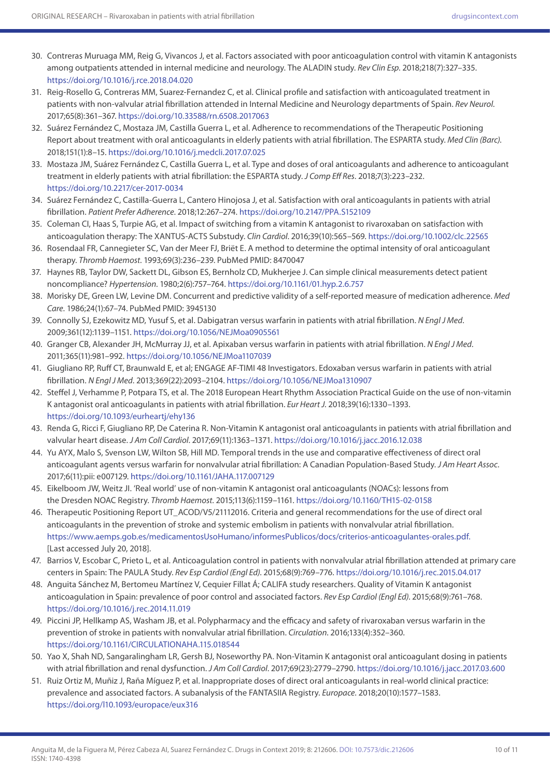- 30. Contreras Muruaga MM, Reig G, Vivancos J, et al. Factors associated with poor anticoagulation control with vitamin K antagonists among outpatients attended in internal medicine and neurology. The ALADIN study. *Rev Clin Esp*. 2018;218(7):327–335. <https://doi.org/10.1016/j.rce.2018.04.020>
- 31. [Reig-Rosello G,](file:///D:\https:\www.ncbi.nlm.nih.gov\pubmed\) [Contreras MM,](file:///D:\https:\www.ncbi.nlm.nih.gov\pubmed\) [Suarez-Fernandez C,](file:///D:\https:\www.ncbi.nlm.nih.gov\pubmed\) et al. Clinical profile and satisfaction with anticoagulated treatment in patients with non-valvular atrial fibrillation attended in Internal Medicine and Neurology departments of Spain. *Rev Neurol*. 2017;65(8):361–367.<https://doi.org/10.33588/rn.6508.2017063>
- 32. [Suárez Fernández C](https://www.ncbi.nlm.nih.gov/pubmed/?term=Su%C3%A1rez Fern%C3%A1ndez C%5BAuthor%5D&cauthor=true&cauthor_uid=28992980), [Mostaza JM,](file:///D:\https:\www.ncbi.nlm.nih.gov\pubmed\) [Castilla Guerra L,](file:///D:\https:\www.ncbi.nlm.nih.gov\pubmed\) et al. Adherence to recommendations of the Therapeutic Positioning Report about treatment with oral anticoagulants in elderly patients with atrial fibrillation. The ESPARTA study. *Med Clin (Barc)*. 2018;151(1):8–15.<https://doi.org/10.1016/j.medcli.2017.07.025>
- 33. [Mostaza JM,](file:///D:\https:\www.ncbi.nlm.nih.gov\pubmed\) [Suárez Fernández C,](https://www.ncbi.nlm.nih.gov/pubmed/?term=Su%C3%A1rez Fern%C3%A1ndez C%5BAuthor%5D&cauthor=true&cauthor_uid=29465254) [Castilla Guerra L,](file:///D:\https:\www.ncbi.nlm.nih.gov\pubmed\) et al. Type and doses of oral anticoagulants and adherence to anticoagulant treatment in elderly patients with atrial fibrillation: the ESPARTA study. *J Comp Eff Res*. 2018;7(3):223–232. <https://doi.org/10.2217/cer-2017-0034>
- 34. [Suárez Fernández C](https://www.ncbi.nlm.nih.gov/pubmed/?term=Su%C3%A1rez Fern%C3%A1ndez C%5BAuthor%5D&cauthor=true&cauthor_uid=29497282), [Castilla-Guerra L,](file:///D:\https:\www.ncbi.nlm.nih.gov\pubmed\) [Cantero Hinojosa J,](file:///D:\https:\www.ncbi.nlm.nih.gov\pubmed\) et al. Satisfaction with oral anticoagulants in patients with atrial fibrillation. *Patient Prefer Adherence*. 2018;12:267–274.<https://doi.org/10.2147/PPA.S152109>
- 35. [Coleman CI](file:///D:\https:\www.ncbi.nlm.nih.gov\pubmed\), [Haas S](file:///D:\https:\www.ncbi.nlm.nih.gov\pubmed\), [Turpie AG,](file:///D:\https:\www.ncbi.nlm.nih.gov\pubmed\) et al. Impact of switching from a vitamin K antagonist to rivaroxaban on satisfaction with anticoagulation therapy: The XANTUS-ACTS Substudy. *Clin Cardiol*. 2016;39(10):565–569. <https://doi.org/10.1002/clc.22565>
- 36. Rosendaal FR, Cannegieter SC, Van der Meer FJ, Briët E. A method to determine the optimal intensity of oral anticoagulant therapy. *Thromb Haemost*. 1993;69(3):236–239. PubMed PMID: 8470047
- 37. Haynes RB, Taylor DW, Sackett DL, Gibson ES, Bernholz CD, Mukherjee J. Can simple clinical measurements detect patient noncompliance? *Hypertension*. 1980;2(6):757–764. <https://doi.org/10.1161/01.hyp.2.6.757>
- 38. Morisky DE, Green LW, Levine DM. Concurrent and predictive validity of a self-reported measure of medication adherence. *Med Care*. 1986;24(1):67–74. PubMed PMID: 3945130
- 39. [Connolly SJ,](file:///D:\http:\www.ncbi.nlm.nih.gov\pubmed) Ezekowitz MD, [Yusuf S,](file:///D:\http:\www.ncbi.nlm.nih.gov\pubmed) et al. Dabigatran versus warfarin in patients with atrial fibrillation. *N Engl J Med*. 2009;361(12):1139–1151. <https://doi.org/10.1056/NEJMoa0905561>
- 40. Granger CB, Alexander JH, McMurray JJ, et al. Apixaban versus warfarin in patients with atrial fibrillation. *N Engl J Med*. 2011;365(11):981–992. <https://doi.org/10.1056/NEJMoa1107039>
- 41. [Giugliano RP,](file:///D:\http:\www.ncbi.nlm.nih.gov\pubmed\) [Ruff CT,](file:///D:\http:\www.ncbi.nlm.nih.gov\pubmed\) Braunwald E, et al; [ENGAGE AF-TIMI 48 Investigators](file:///D:\http:\www.ncbi.nlm.nih.gov\pubmed\). Edoxaban versus warfarin in patients with atrial fibrillation. *N Engl J Med*. 2013;369(22):2093–2104.<https://doi.org/10.1056/NEJMoa1310907>
- 42. Steffel J, Verhamme P, Potpara TS, et al. [The 2018 European Heart Rhythm Association Practical Guide on the use of non-vitamin](https://www.ncbi.nlm.nih.gov/pubmed/29562325)  [K antagonist oral anticoagulants in patients with atrial fibrillation.](https://www.ncbi.nlm.nih.gov/pubmed/29562325) *Eur Heart J*. 2018;39(16):1330–1393. <https://doi.org/10.1093/eurheartj/ehy136>
- 43. [Renda G,](file:///D:\https:\www.ncbi.nlm.nih.gov\pubmed\) [Ricci F](file:///D:\https:\www.ncbi.nlm.nih.gov\pubmed\), [Giugliano RP](file:///D:\https:\www.ncbi.nlm.nih.gov\pubmed\), [De Caterina R.](file:///D:\https:\www.ncbi.nlm.nih.gov\pubmed\) Non-Vitamin K antagonist oral anticoagulants in patients with atrial fibrillation and valvular heart disease. *J Am Coll Cardiol*. 2017;69(11):1363–1371.<https://doi.org/10.1016/j.jacc.2016.12.038>
- 44. Yu AYX, Malo S, Svenson LW, Wilton SB, Hill MD. Temporal trends in the use and comparative effectiveness of direct oral anticoagulant agents versus warfarin for nonvalvular atrial fibrillation: A Canadian Population-Based Study. *J Am Heart Assoc*. 2017;6(11):pii: e007129.<https://doi.org/10.1161/JAHA.117.007129>
- 45. [Eikelboom JW](file:///D:\https:\www.ncbi.nlm.nih.gov\pubmed\), [Weitz JI.](file:///D:\https:\www.ncbi.nlm.nih.gov\pubmed\) 'Real world' use of non-vitamin K antagonist oral anticoagulants (NOACs): lessons from the Dresden NOAC Registry. *Thromb Haemost*. 2015;113(6):1159–1161. <https://doi.org/10.1160/TH15-02-0158>
- 46. Therapeutic Positioning Report UT\_ACOD/V5/21112016. Criteria and general recommendations for the use of direct oral anticoagulants in the prevention of stroke and systemic embolism in patients with nonvalvular atrial fibrillation. [https://www.aemps.gob.es/medicamentosUsoHumano/informesPublicos/docs/criterios-anticoagulantes-orales.pdf.](https://www.aemps.gob.es/medicamentosUsoHumano/informesPublicos/docs/criterios-anticoagulantes-orales.pdf) [Last accessed July 20, 2018].
- 47. Barrios V, Escobar C, Prieto L, et al. Anticoagulation control in patients with nonvalvular atrial fibrillation attended at primary care centers in Spain: The PAULA Study. *Rev Esp Cardiol (Engl Ed)*. 2015;68(9):769–776.<https://doi.org/10.1016/j.rec.2015.04.017>
- 48. [Anguita Sánchez M,](https://www.ncbi.nlm.nih.gov/pubmed/?term=Anguita S%C3%A1nchez M%5BAuthor%5D&cauthor=true&cauthor_uid=25814183) Bertomeu Martínez V, Cequier Fillat Á; CALIFA study researchers. Quality of Vitamin K antagonist anticoagulation in Spain: prevalence of poor control and associated factors. *Rev Esp Cardiol (Engl Ed)*. 2015;68(9):761–768. <https://doi.org/10.1016/j.rec.2014.11.019>
- 49. [Piccini JP,](file:///D:\https:\www.ncbi.nlm.nih.gov\pubmed\) Hellkamp AS, Washam JB, et al. Polypharmacy and the efficacy and safety of rivaroxaban versus warfarin in the prevention of stroke in patients with nonvalvular atrial fibrillation. *Circulation*. 2016;133(4):352–360. <https://doi.org/10.1161/CIRCULATIONAHA.115.018544>
- 50. Yao X, Shah ND, Sangaralingham LR, Gersh BJ, Noseworthy PA. Non-Vitamin K antagonist oral anticoagulant dosing in patients with atrial fibrillation and renal dysfunction. *J Am Coll Cardiol*. 2017;69(23):2779–2790. <https://doi.org/10.1016/j.jacc.2017.03.600>
- 51. Ruiz Ortiz M, Muñiz J, Raña Míguez P, et al. [Inappropriate doses of direct oral anticoagulants in real-world clinical practice:](https://www.ncbi.nlm.nih.gov/pubmed/29186393)  [prevalence and associated factors. A subanalysis of the FANTASIIA Registry.](https://www.ncbi.nlm.nih.gov/pubmed/29186393) *Europace*. 2018;20(10):1577–1583. <https://doi.org/l10.1093/europace/eux316>